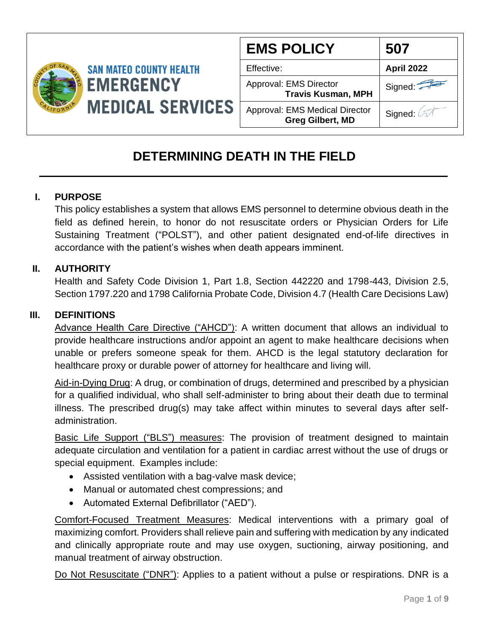

| <b>EMS POLICY</b>                                                | 507        |
|------------------------------------------------------------------|------------|
| Effective:                                                       | April 2022 |
| Approval: EMS Director<br><b>Travis Kusman, MPH</b>              | Signed:    |
| <b>Approval: EMS Medical Director</b><br><b>Greg Gilbert, MD</b> | Signed: 4  |

# **DETERMINING DEATH IN THE FIELD**

## **I. PURPOSE**

This policy establishes a system that allows EMS personnel to determine obvious death in the field as defined herein, to honor do not resuscitate orders or Physician Orders for Life Sustaining Treatment ("POLST"), and other patient designated end-of-life directives in accordance with the patient's wishes when death appears imminent.

### **II. AUTHORITY**

Health and Safety Code Division 1, Part 1.8, Section 442220 and 1798-443, Division 2.5, Section 1797.220 and 1798 California Probate Code, Division 4.7 (Health Care Decisions Law)

#### **III. DEFINITIONS**

Advance Health Care Directive ("AHCD"): A written document that allows an individual to provide healthcare instructions and/or appoint an agent to make healthcare decisions when unable or prefers someone speak for them. AHCD is the legal statutory declaration for healthcare proxy or durable power of attorney for healthcare and living will.

Aid-in-Dying Drug: A drug, or combination of drugs, determined and prescribed by a physician for a qualified individual, who shall self-administer to bring about their death due to terminal illness. The prescribed drug(s) may take affect within minutes to several days after selfadministration.

Basic Life Support ("BLS") measures: The provision of treatment designed to maintain adequate circulation and ventilation for a patient in cardiac arrest without the use of drugs or special equipment. Examples include:

- Assisted ventilation with a bag-valve mask device;
- Manual or automated chest compressions; and
- Automated External Defibrillator ("AED").

Comfort-Focused Treatment Measures: Medical interventions with a primary goal of maximizing comfort. Providers shall relieve pain and suffering with medication by any indicated and clinically appropriate route and may use oxygen, suctioning, airway positioning, and manual treatment of airway obstruction.

Do Not Resuscitate ("DNR"): Applies to a patient without a pulse or respirations. DNR is a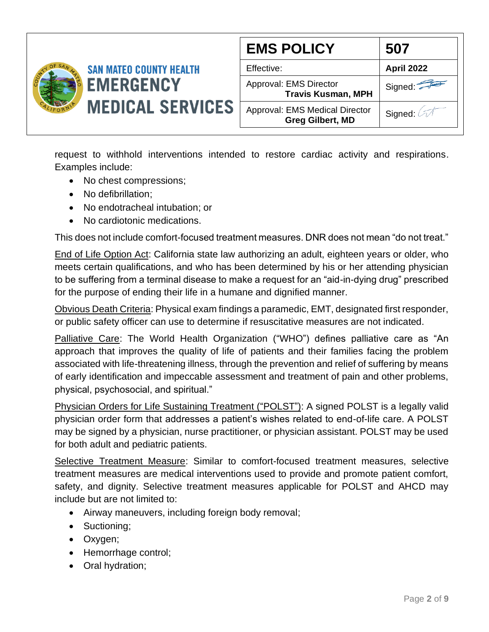

| <b>EMS POLICY</b>                                         | 507               |
|-----------------------------------------------------------|-------------------|
| Effective:                                                | <b>April 2022</b> |
| Approval: EMS Director<br><b>Travis Kusman, MPH</b>       | Signed:           |
| Approval: EMS Medical Director<br><b>Greg Gilbert, MD</b> | Signed: 47        |

request to withhold interventions intended to restore cardiac activity and respirations. Examples include:

- No chest compressions;
- No defibrillation;
- No endotracheal intubation; or
- No cardiotonic medications.

This does not include comfort-focused treatment measures. DNR does not mean "do not treat."

End of Life Option Act: California state law authorizing an adult, eighteen years or older, who meets certain qualifications, and who has been determined by his or her attending physician to be suffering from a terminal disease to make a request for an "aid-in-dying drug" prescribed for the purpose of ending their life in a humane and dignified manner.

Obvious Death Criteria: Physical exam findings a paramedic, EMT, designated first responder, or public safety officer can use to determine if resuscitative measures are not indicated.

Palliative Care: The World Health Organization ("WHO") defines palliative care as "An approach that improves the quality of life of patients and their families facing the problem associated with life-threatening illness, through the prevention and relief of suffering by means of early identification and impeccable assessment and treatment of pain and other problems, physical, psychosocial, and spiritual."

Physician Orders for Life Sustaining Treatment ("POLST"): A signed POLST is a legally valid physician order form that addresses a patient's wishes related to end-of-life care. A POLST may be signed by a physician, nurse practitioner, or physician assistant. POLST may be used for both adult and pediatric patients.

Selective Treatment Measure: Similar to comfort-focused treatment measures, selective treatment measures are medical interventions used to provide and promote patient comfort, safety, and dignity. Selective treatment measures applicable for POLST and AHCD may include but are not limited to:

- Airway maneuvers, including foreign body removal;
- Suctioning;
- Oxygen;
- Hemorrhage control;
- Oral hydration;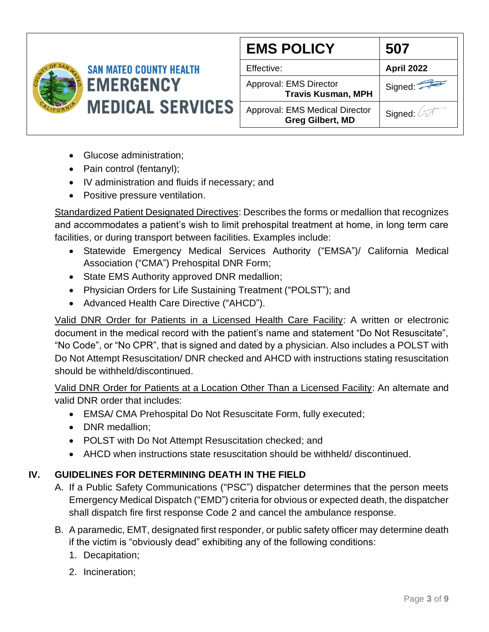

| <b>EMS POLICY</b>                                         | 507               |
|-----------------------------------------------------------|-------------------|
| Effective:                                                | <b>April 2022</b> |
| Approval: EMS Director<br><b>Travis Kusman, MPH</b>       | Signed:           |
| Approval: EMS Medical Director<br><b>Greg Gilbert, MD</b> | Signed:           |

- Glucose administration;
- Pain control (fentanyl);
- IV administration and fluids if necessary; and
- Positive pressure ventilation.

Standardized Patient Designated Directives: Describes the forms or medallion that recognizes and accommodates a patient's wish to limit prehospital treatment at home, in long term care facilities, or during transport between facilities. Examples include:

- Statewide Emergency Medical Services Authority ("EMSA")/ California Medical Association ("CMA") Prehospital DNR Form;
- State EMS Authority approved DNR medallion;
- Physician Orders for Life Sustaining Treatment ("POLST"); and
- Advanced Health Care Directive ("AHCD").

Valid DNR Order for Patients in a Licensed Health Care Facility: A written or electronic document in the medical record with the patient's name and statement "Do Not Resuscitate", "No Code", or "No CPR", that is signed and dated by a physician. Also includes a POLST with Do Not Attempt Resuscitation/ DNR checked and AHCD with instructions stating resuscitation should be withheld/discontinued.

Valid DNR Order for Patients at a Location Other Than a Licensed Facility: An alternate and valid DNR order that includes:

- EMSA/ CMA Prehospital Do Not Resuscitate Form, fully executed;
- DNR medallion:
- POLST with Do Not Attempt Resuscitation checked; and
- AHCD when instructions state resuscitation should be withheld/ discontinued.

## **IV. GUIDELINES FOR DETERMINING DEATH IN THE FIELD**

- A. If a Public Safety Communications ("PSC") dispatcher determines that the person meets Emergency Medical Dispatch ("EMD") criteria for obvious or expected death, the dispatcher shall dispatch fire first response Code 2 and cancel the ambulance response.
- B. A paramedic, EMT, designated first responder, or public safety officer may determine death if the victim is "obviously dead" exhibiting any of the following conditions:
	- 1. Decapitation;
	- 2. Incineration;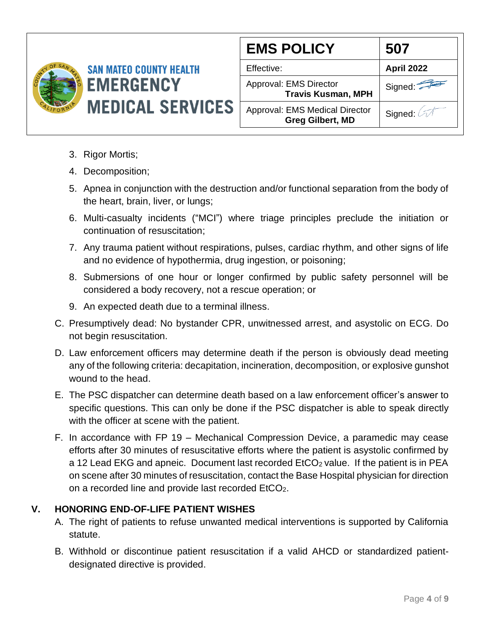

| <b>EMS POLICY</b>                                                | 507               |
|------------------------------------------------------------------|-------------------|
| Effective:                                                       | <b>April 2022</b> |
| Approval: EMS Director<br><b>Travis Kusman, MPH</b>              | Signed:           |
| <b>Approval: EMS Medical Director</b><br><b>Greg Gilbert, MD</b> | Signed: 2         |

- 3. Rigor Mortis;
- 4. Decomposition;
- 5. Apnea in conjunction with the destruction and/or functional separation from the body of the heart, brain, liver, or lungs;
- 6. Multi-casualty incidents ("MCI") where triage principles preclude the initiation or continuation of resuscitation;
- 7. Any trauma patient without respirations, pulses, cardiac rhythm, and other signs of life and no evidence of hypothermia, drug ingestion, or poisoning;
- 8. Submersions of one hour or longer confirmed by public safety personnel will be considered a body recovery, not a rescue operation; or
- 9. An expected death due to a terminal illness.
- C. Presumptively dead: No bystander CPR, unwitnessed arrest, and asystolic on ECG. Do not begin resuscitation.
- D. Law enforcement officers may determine death if the person is obviously dead meeting any of the following criteria: decapitation, incineration, decomposition, or explosive gunshot wound to the head.
- E. The PSC dispatcher can determine death based on a law enforcement officer's answer to specific questions. This can only be done if the PSC dispatcher is able to speak directly with the officer at scene with the patient.
- F. In accordance with FP 19 Mechanical Compression Device, a paramedic may cease efforts after 30 minutes of resuscitative efforts where the patient is asystolic confirmed by a 12 Lead EKG and apneic. Document last recorded EtCO<sub>2</sub> value. If the patient is in PEA on scene after 30 minutes of resuscitation, contact the Base Hospital physician for direction on a recorded line and provide last recorded EtCO2.

### **V. HONORING END-OF-LIFE PATIENT WISHES**

- A. The right of patients to refuse unwanted medical interventions is supported by California statute.
- B. Withhold or discontinue patient resuscitation if a valid AHCD or standardized patientdesignated directive is provided.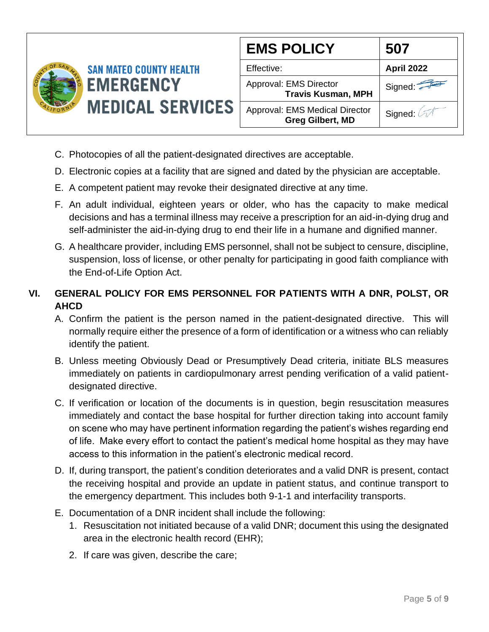

| <b>EMS POLICY</b>                                                | 507               |
|------------------------------------------------------------------|-------------------|
| Effective:                                                       | <b>April 2022</b> |
| Approval: EMS Director<br><b>Travis Kusman, MPH</b>              | Signed:           |
| <b>Approval: EMS Medical Director</b><br><b>Greg Gilbert, MD</b> | Signed: 67        |

- C. Photocopies of all the patient-designated directives are acceptable.
- D. Electronic copies at a facility that are signed and dated by the physician are acceptable.
- E. A competent patient may revoke their designated directive at any time.
- F. An adult individual, eighteen years or older, who has the capacity to make medical decisions and has a terminal illness may receive a prescription for an aid-in-dying drug and self-administer the aid-in-dying drug to end their life in a humane and dignified manner.
- G. A healthcare provider, including EMS personnel, shall not be subject to censure, discipline, suspension, loss of license, or other penalty for participating in good faith compliance with the End-of-Life Option Act.

# **VI. GENERAL POLICY FOR EMS PERSONNEL FOR PATIENTS WITH A DNR, POLST, OR AHCD**

- A. Confirm the patient is the person named in the patient-designated directive. This will normally require either the presence of a form of identification or a witness who can reliably identify the patient.
- B. Unless meeting Obviously Dead or Presumptively Dead criteria, initiate BLS measures immediately on patients in cardiopulmonary arrest pending verification of a valid patientdesignated directive.
- C. If verification or location of the documents is in question, begin resuscitation measures immediately and contact the base hospital for further direction taking into account family on scene who may have pertinent information regarding the patient's wishes regarding end of life. Make every effort to contact the patient's medical home hospital as they may have access to this information in the patient's electronic medical record.
- D. If, during transport, the patient's condition deteriorates and a valid DNR is present, contact the receiving hospital and provide an update in patient status, and continue transport to the emergency department. This includes both 9-1-1 and interfacility transports.
- E. Documentation of a DNR incident shall include the following:
	- 1. Resuscitation not initiated because of a valid DNR; document this using the designated area in the electronic health record (EHR);
	- 2. If care was given, describe the care;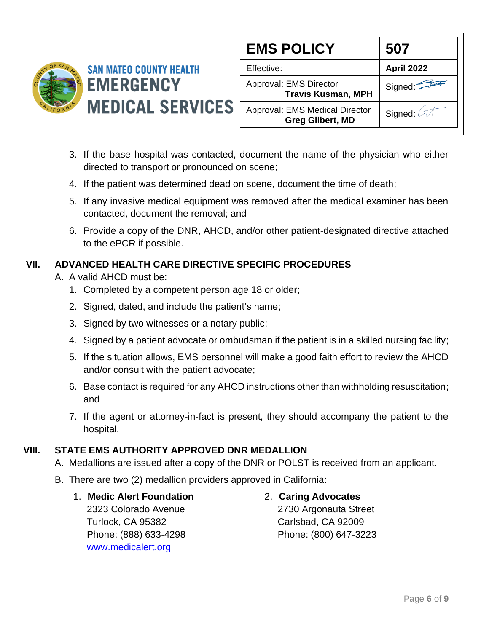

| <b>EMS POLICY</b>                                                | 507               |
|------------------------------------------------------------------|-------------------|
| Effective:                                                       | <b>April 2022</b> |
| Approval: EMS Director<br><b>Travis Kusman, MPH</b>              | Signed:           |
| <b>Approval: EMS Medical Director</b><br><b>Greg Gilbert, MD</b> | Signed:           |

- 3. If the base hospital was contacted, document the name of the physician who either directed to transport or pronounced on scene;
- 4. If the patient was determined dead on scene, document the time of death;
- 5. If any invasive medical equipment was removed after the medical examiner has been contacted, document the removal; and
- 6. Provide a copy of the DNR, AHCD, and/or other patient-designated directive attached to the ePCR if possible.

## **VII. ADVANCED HEALTH CARE DIRECTIVE SPECIFIC PROCEDURES**

- A. A valid AHCD must be:
	- 1. Completed by a competent person age 18 or older;
	- 2. Signed, dated, and include the patient's name;
	- 3. Signed by two witnesses or a notary public;
	- 4. Signed by a patient advocate or ombudsman if the patient is in a skilled nursing facility;
	- 5. If the situation allows, EMS personnel will make a good faith effort to review the AHCD and/or consult with the patient advocate;
	- 6. Base contact is required for any AHCD instructions other than withholding resuscitation; and
	- 7. If the agent or attorney-in-fact is present, they should accompany the patient to the hospital.

## **VIII. STATE EMS AUTHORITY APPROVED DNR MEDALLION**

- A. Medallions are issued after a copy of the DNR or POLST is received from an applicant.
- B. There are two (2) medallion providers approved in California:
	- 1. **Medic Alert Foundation** 2323 Colorado Avenue Turlock, CA 95382 Phone: (888) 633-4298 [www.medicalert.org](http://www.medicalert.org/)

## 2. **Caring Advocates**

2730 Argonauta Street Carlsbad, CA 92009 Phone: (800) 647-3223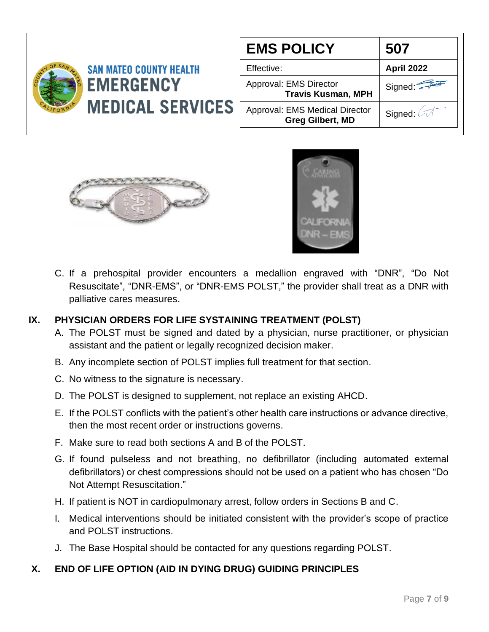|                                | <b>EMS POLICY</b>                                         | 507                   |
|--------------------------------|-----------------------------------------------------------|-----------------------|
| <b>SAN MATEO COUNTY HEALTH</b> | Effective:                                                | <b>April 2022</b>     |
| <b>EMERGENCY</b>               | Approval: EMS Director<br><b>Travis Kusman, MPH</b>       | Signed: $\sqrt{2\pi}$ |
| <b>MEDICAL SERVICES</b>        | Approval: EMS Medical Director<br><b>Greg Gilbert, MD</b> | Signed:               |
|                                |                                                           |                       |





C. If a prehospital provider encounters a medallion engraved with "DNR", "Do Not Resuscitate", "DNR-EMS", or "DNR-EMS POLST," the provider shall treat as a DNR with palliative cares measures.

### **IX. PHYSICIAN ORDERS FOR LIFE SYSTAINING TREATMENT (POLST)**

- A. The POLST must be signed and dated by a physician, nurse practitioner, or physician assistant and the patient or legally recognized decision maker.
- B. Any incomplete section of POLST implies full treatment for that section.
- C. No witness to the signature is necessary.
- D. The POLST is designed to supplement, not replace an existing AHCD.
- E. If the POLST conflicts with the patient's other health care instructions or advance directive, then the most recent order or instructions governs.
- F. Make sure to read both sections A and B of the POLST.
- G. If found pulseless and not breathing, no defibrillator (including automated external defibrillators) or chest compressions should not be used on a patient who has chosen "Do Not Attempt Resuscitation."
- H. If patient is NOT in cardiopulmonary arrest, follow orders in Sections B and C.
- I. Medical interventions should be initiated consistent with the provider's scope of practice and POLST instructions.
- J. The Base Hospital should be contacted for any questions regarding POLST.

#### **X. END OF LIFE OPTION (AID IN DYING DRUG) GUIDING PRINCIPLES**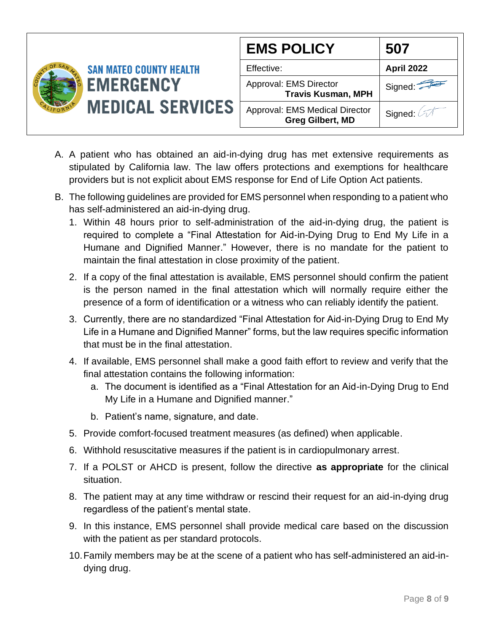

| <b>EMS POLICY</b>                                                | 507               |
|------------------------------------------------------------------|-------------------|
| Effective:                                                       | <b>April 2022</b> |
| Approval: EMS Director<br><b>Travis Kusman, MPH</b>              | Signed:           |
| <b>Approval: EMS Medical Director</b><br><b>Greg Gilbert, MD</b> | Signed: 4         |

- A. A patient who has obtained an aid-in-dying drug has met extensive requirements as stipulated by California law. The law offers protections and exemptions for healthcare providers but is not explicit about EMS response for End of Life Option Act patients.
- B. The following guidelines are provided for EMS personnel when responding to a patient who has self-administered an aid-in-dying drug.
	- 1. Within 48 hours prior to self-administration of the aid-in-dying drug, the patient is required to complete a "Final Attestation for Aid-in-Dying Drug to End My Life in a Humane and Dignified Manner." However, there is no mandate for the patient to maintain the final attestation in close proximity of the patient.
	- 2. If a copy of the final attestation is available, EMS personnel should confirm the patient is the person named in the final attestation which will normally require either the presence of a form of identification or a witness who can reliably identify the patient.
	- 3. Currently, there are no standardized "Final Attestation for Aid-in-Dying Drug to End My Life in a Humane and Dignified Manner" forms, but the law requires specific information that must be in the final attestation.
	- 4. If available, EMS personnel shall make a good faith effort to review and verify that the final attestation contains the following information:
		- a. The document is identified as a "Final Attestation for an Aid-in-Dying Drug to End My Life in a Humane and Dignified manner."
		- b. Patient's name, signature, and date.
	- 5. Provide comfort-focused treatment measures (as defined) when applicable.
	- 6. Withhold resuscitative measures if the patient is in cardiopulmonary arrest.
	- 7. If a POLST or AHCD is present, follow the directive **as appropriate** for the clinical situation.
	- 8. The patient may at any time withdraw or rescind their request for an aid-in-dying drug regardless of the patient's mental state.
	- 9. In this instance, EMS personnel shall provide medical care based on the discussion with the patient as per standard protocols.
	- 10.Family members may be at the scene of a patient who has self-administered an aid-indying drug.